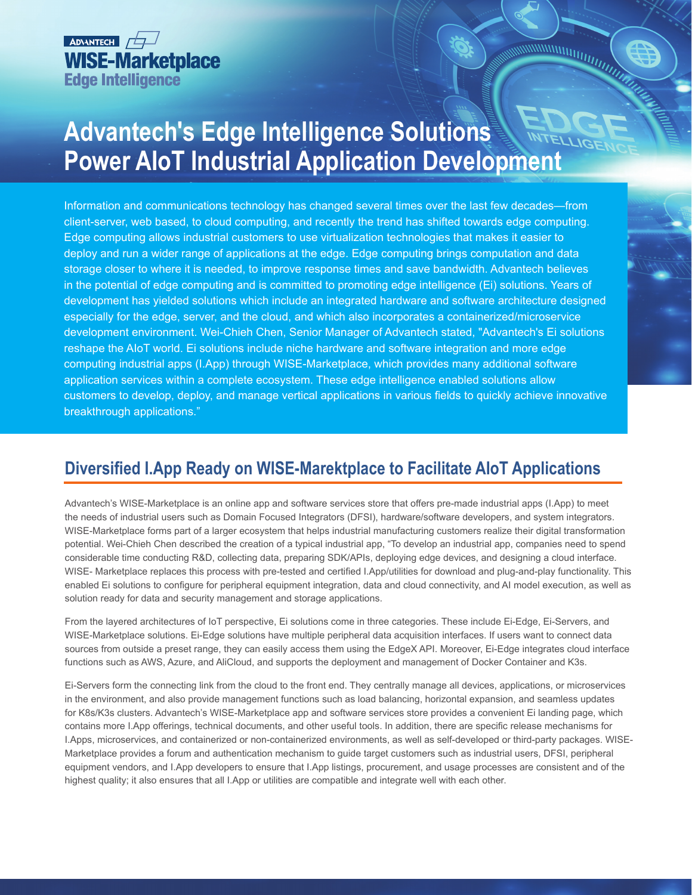

## **Advantech's Edge Intelligence Solutions Power AIoT Industrial Application Development**

WWWWITHTING

Information and communications technology has changed several times over the last few decades—from client-server, web based, to cloud computing, and recently the trend has shifted towards edge computing. Edge computing allows industrial customers to use virtualization technologies that makes it easier to deploy and run a wider range of applications at the edge. Edge computing brings computation and data storage closer to where it is needed, to improve response times and save bandwidth. Advantech believes in the potential of edge computing and is committed to promoting edge intelligence (Ei) solutions. Years of development has yielded solutions which include an integrated hardware and software architecture designed especially for the edge, server, and the cloud, and which also incorporates a containerized/microservice development environment. Wei-Chieh Chen, Senior Manager of Advantech stated, "Advantech's Ei solutions reshape the AIoT world. Ei solutions include niche hardware and software integration and more edge computing industrial apps (I.App) through WISE-Marketplace, which provides many additional software application services within a complete ecosystem. These edge intelligence enabled solutions allow customers to develop, deploy, and manage vertical applications in various fields to quickly achieve innovative breakthrough applications."

## **Diversified I.App Ready on WISE-Marektplace to Facilitate AIoT Applications**

Advantech's WISE-Marketplace is an online app and software services store that offers pre-made industrial apps (I.App) to meet the needs of industrial users such as Domain Focused Integrators (DFSI), hardware/software developers, and system integrators. WISE-Marketplace forms part of a larger ecosystem that helps industrial manufacturing customers realize their digital transformation potential. Wei-Chieh Chen described the creation of a typical industrial app, "To develop an industrial app, companies need to spend considerable time conducting R&D, collecting data, preparing SDK/APIs, deploying edge devices, and designing a cloud interface. WISE- Marketplace replaces this process with pre-tested and certified I.App/utilities for download and plug-and-play functionality. This enabled Ei solutions to configure for peripheral equipment integration, data and cloud connectivity, and AI model execution, as well as solution ready for data and security management and storage applications.

From the layered architectures of IoT perspective, Ei solutions come in three categories. These include Ei-Edge, Ei-Servers, and WISE-Marketplace solutions. Ei-Edge solutions have multiple peripheral data acquisition interfaces. If users want to connect data sources from outside a preset range, they can easily access them using the EdgeX API. Moreover, Ei-Edge integrates cloud interface functions such as AWS, Azure, and AliCloud, and supports the deployment and management of Docker Container and K3s.

Ei-Servers form the connecting link from the cloud to the front end. They centrally manage all devices, applications, or microservices in the environment, and also provide management functions such as load balancing, horizontal expansion, and seamless updates for K8s/K3s clusters. Advantech's WISE-Marketplace app and software services store provides a convenient Ei landing page, which contains more I.App offerings, technical documents, and other useful tools. In addition, there are specific release mechanisms for I.Apps, microservices, and containerized or non-containerized environments, as well as self-developed or third-party packages. WISE-Marketplace provides a forum and authentication mechanism to guide target customers such as industrial users, DFSI, peripheral equipment vendors, and I.App developers to ensure that I.App listings, procurement, and usage processes are consistent and of the highest quality; it also ensures that all I.App or utilities are compatible and integrate well with each other.